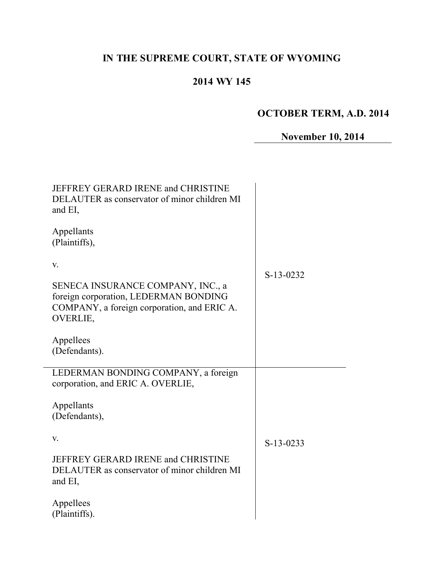# **IN THE SUPREME COURT, STATE OF WYOMING**

## **2014 WY 145**

# **OCTOBER TERM, A.D. 2014**

# **November 10, 2014**

| JEFFREY GERARD IRENE and CHRISTINE<br>DELAUTER as conservator of minor children MI<br>and EI,                                         |             |
|---------------------------------------------------------------------------------------------------------------------------------------|-------------|
| Appellants<br>(Plaintiffs),                                                                                                           |             |
| V.                                                                                                                                    | S-13-0232   |
| SENECA INSURANCE COMPANY, INC., a<br>foreign corporation, LEDERMAN BONDING<br>COMPANY, a foreign corporation, and ERIC A.<br>OVERLIE, |             |
| Appellees<br>(Defendants).                                                                                                            |             |
| LEDERMAN BONDING COMPANY, a foreign<br>corporation, and ERIC A. OVERLIE,                                                              |             |
| Appellants                                                                                                                            |             |
| (Defendants),                                                                                                                         |             |
| V.                                                                                                                                    | $S-13-0233$ |
| JEFFREY GERARD IRENE and CHRISTINE<br>DELAUTER as conservator of minor children MI<br>and EI,                                         |             |
| Appellees<br>(Plaintiffs).                                                                                                            |             |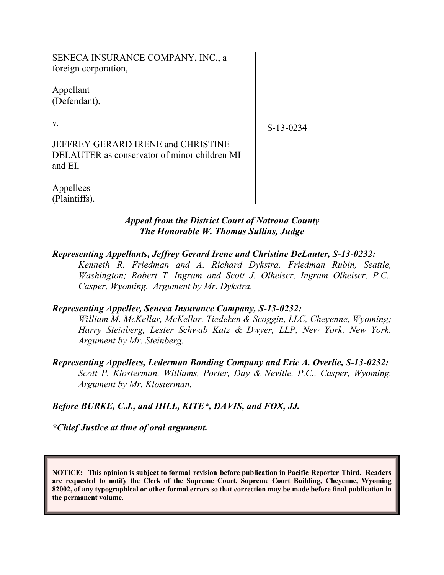SENECA INSURANCE COMPANY, INC., a foreign corporation,

Appellant (Defendant),

v.

S-13-0234

JEFFREY GERARD IRENE and CHRISTINE DELAUTER as conservator of minor children MI and EI,

Appellees (Plaintiffs).

#### *Appeal from the District Court of Natrona County The Honorable W. Thomas Sullins, Judge*

### *Representing Appellants, Jeffrey Gerard Irene and Christine DeLauter, S-13-0232:*

*Kenneth R. Friedman and A. Richard Dykstra, Friedman Rubin, Seattle, Washington; Robert T. Ingram and Scott J. Olheiser, Ingram Olheiser, P.C., Casper, Wyoming. Argument by Mr. Dykstra.*

### *Representing Appellee, Seneca Insurance Company, S-13-0232:*

*William M. McKellar, McKellar, Tiedeken & Scoggin, LLC, Cheyenne, Wyoming; Harry Steinberg, Lester Schwab Katz & Dwyer, LLP, New York, New York. Argument by Mr. Steinberg.*

*Representing Appellees, Lederman Bonding Company and Eric A. Overlie, S-13-0232: Scott P. Klosterman, Williams, Porter, Day & Neville, P.C., Casper, Wyoming. Argument by Mr. Klosterman.*

### *Before BURKE, C.J., and HILL, KITE\*, DAVIS, and FOX, JJ.*

*\*Chief Justice at time of oral argument.*

**NOTICE: This opinion is subject to formal revision before publication in Pacific Reporter Third. Readers are requested to notify the Clerk of the Supreme Court, Supreme Court Building, Cheyenne, Wyoming 82002, of any typographical or other formal errors so that correction may be made before final publication in the permanent volume.**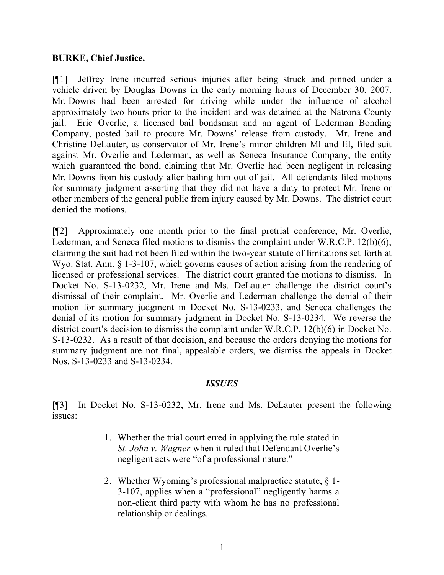#### **BURKE, Chief Justice.**

[¶1] Jeffrey Irene incurred serious injuries after being struck and pinned under a vehicle driven by Douglas Downs in the early morning hours of December 30, 2007. Mr. Downs had been arrested for driving while under the influence of alcohol approximately two hours prior to the incident and was detained at the Natrona County jail. Eric Overlie, a licensed bail bondsman and an agent of Lederman Bonding Company, posted bail to procure Mr. Downs' release from custody. Mr. Irene and Christine DeLauter, as conservator of Mr. Irene's minor children MI and EI, filed suit against Mr. Overlie and Lederman, as well as Seneca Insurance Company, the entity which guaranteed the bond, claiming that Mr. Overlie had been negligent in releasing Mr. Downs from his custody after bailing him out of jail. All defendants filed motions for summary judgment asserting that they did not have a duty to protect Mr. Irene or other members of the general public from injury caused by Mr. Downs. The district court denied the motions.

[¶2] Approximately one month prior to the final pretrial conference, Mr. Overlie, Lederman, and Seneca filed motions to dismiss the complaint under W.R.C.P. 12(b)(6), claiming the suit had not been filed within the two-year statute of limitations set forth at Wyo. Stat. Ann. § 1-3-107, which governs causes of action arising from the rendering of licensed or professional services. The district court granted the motions to dismiss. In Docket No. S-13-0232, Mr. Irene and Ms. DeLauter challenge the district court's dismissal of their complaint. Mr. Overlie and Lederman challenge the denial of their motion for summary judgment in Docket No. S-13-0233, and Seneca challenges the denial of its motion for summary judgment in Docket No. S-13-0234. We reverse the district court's decision to dismiss the complaint under W.R.C.P. 12(b)(6) in Docket No. S-13-0232. As a result of that decision, and because the orders denying the motions for summary judgment are not final, appealable orders, we dismiss the appeals in Docket Nos. S-13-0233 and S-13-0234.

#### *ISSUES*

[¶3] In Docket No. S-13-0232, Mr. Irene and Ms. DeLauter present the following issues:

- 1. Whether the trial court erred in applying the rule stated in *St. John v. Wagner* when it ruled that Defendant Overlie's negligent acts were "of a professional nature."
- 2. Whether Wyoming's professional malpractice statute, § 1- 3-107, applies when a "professional" negligently harms a non-client third party with whom he has no professional relationship or dealings.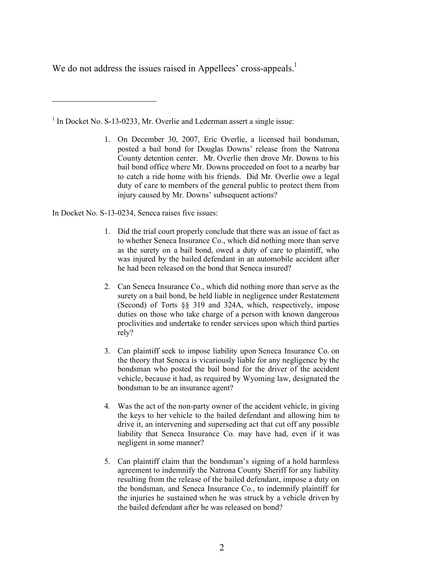We do not address the issues raised in Appellees' cross-appeals.<sup>1</sup>

<sup>1</sup> In Docket No. S-13-0233, Mr. Overlie and Lederman assert a single issue:

1. On December 30, 2007, Eric Overlie, a licensed bail bondsman, posted a bail bond for Douglas Downs' release from the Natrona County detention center. Mr. Overlie then drove Mr. Downs to his bail bond office where Mr. Downs proceeded on foot to a nearby bar to catch a ride home with his friends. Did Mr. Overlie owe a legal duty of care to members of the general public to protect them from injury caused by Mr. Downs' subsequent actions?

In Docket No. S-13-0234, Seneca raises five issues:

 $\overline{a}$ 

- 1. Did the trial court properly conclude that there was an issue of fact as to whether Seneca Insurance Co., which did nothing more than serve as the surety on a bail bond, owed a duty of care to plaintiff, who was injured by the bailed defendant in an automobile accident after he had been released on the bond that Seneca insured?
- 2. Can Seneca Insurance Co., which did nothing more than serve as the surety on a bail bond, be held liable in negligence under Restatement (Second) of Torts §§ 319 and 324A, which, respectively, impose duties on those who take charge of a person with known dangerous proclivities and undertake to render services upon which third parties rely?
- 3. Can plaintiff seek to impose liability upon Seneca Insurance Co. on the theory that Seneca is vicariously liable for any negligence by the bondsman who posted the bail bond for the driver of the accident vehicle, because it had, as required by Wyoming law, designated the bondsman to be an insurance agent?
- 4. Was the act of the non-party owner of the accident vehicle, in giving the keys to her vehicle to the bailed defendant and allowing him to drive it, an intervening and superseding act that cut off any possible liability that Seneca Insurance Co. may have had, even if it was negligent in some manner?
- 5. Can plaintiff claim that the bondsman's signing of a hold harmless agreement to indemnify the Natrona County Sheriff for any liability resulting from the release of the bailed defendant, impose a duty on the bondsman, and Seneca Insurance Co., to indemnify plaintiff for the injuries he sustained when he was struck by a vehicle driven by the bailed defendant after he was released on bond?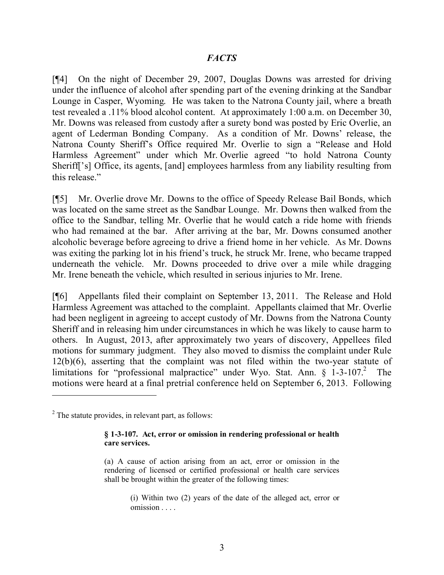#### *FACTS*

[¶4] On the night of December 29, 2007, Douglas Downs was arrested for driving under the influence of alcohol after spending part of the evening drinking at the Sandbar Lounge in Casper, Wyoming. He was taken to the Natrona County jail, where a breath test revealed a .11% blood alcohol content. At approximately 1:00 a.m. on December 30, Mr. Downs was released from custody after a surety bond was posted by Eric Overlie, an agent of Lederman Bonding Company. As a condition of Mr. Downs' release, the Natrona County Sheriff's Office required Mr. Overlie to sign a "Release and Hold Harmless Agreement" under which Mr. Overlie agreed "to hold Natrona County Sheriff['s] Office, its agents, [and] employees harmless from any liability resulting from this release."

[¶5] Mr. Overlie drove Mr. Downs to the office of Speedy Release Bail Bonds, which was located on the same street as the Sandbar Lounge. Mr. Downs then walked from the office to the Sandbar, telling Mr. Overlie that he would catch a ride home with friends who had remained at the bar. After arriving at the bar, Mr. Downs consumed another alcoholic beverage before agreeing to drive a friend home in her vehicle. As Mr. Downs was exiting the parking lot in his friend's truck, he struck Mr. Irene, who became trapped underneath the vehicle. Mr. Downs proceeded to drive over a mile while dragging Mr. Irene beneath the vehicle, which resulted in serious injuries to Mr. Irene.

[¶6] Appellants filed their complaint on September 13, 2011. The Release and Hold Harmless Agreement was attached to the complaint. Appellants claimed that Mr. Overlie had been negligent in agreeing to accept custody of Mr. Downs from the Natrona County Sheriff and in releasing him under circumstances in which he was likely to cause harm to others. In August, 2013, after approximately two years of discovery, Appellees filed motions for summary judgment. They also moved to dismiss the complaint under Rule 12(b)(6), asserting that the complaint was not filed within the two-year statute of limitations for "professional malpractice" under Wyo. Stat. Ann.  $\S$  1-3-107.<sup>2</sup> The motions were heard at a final pretrial conference held on September 6, 2013. Following

#### **§ 1-3-107. Act, error or omission in rendering professional or health care services.**

(a) A cause of action arising from an act, error or omission in the rendering of licensed or certified professional or health care services shall be brought within the greater of the following times:

> (i) Within two (2) years of the date of the alleged act, error or omission . . . .

 $2$  The statute provides, in relevant part, as follows: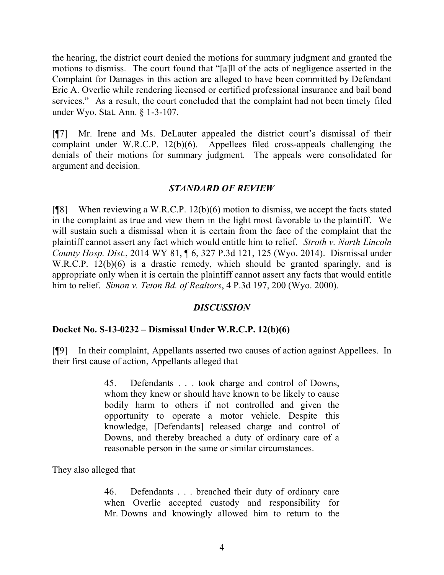the hearing, the district court denied the motions for summary judgment and granted the motions to dismiss. The court found that "[a]ll of the acts of negligence asserted in the Complaint for Damages in this action are alleged to have been committed by Defendant Eric A. Overlie while rendering licensed or certified professional insurance and bail bond services." As a result, the court concluded that the complaint had not been timely filed under Wyo. Stat. Ann. § 1-3-107.

[¶7] Mr. Irene and Ms. DeLauter appealed the district court's dismissal of their complaint under W.R.C.P. 12(b)(6). Appellees filed cross-appeals challenging the denials of their motions for summary judgment. The appeals were consolidated for argument and decision.

#### *STANDARD OF REVIEW*

[ $[$ [8] When reviewing a W.R.C.P. 12(b)(6) motion to dismiss, we accept the facts stated in the complaint as true and view them in the light most favorable to the plaintiff. We will sustain such a dismissal when it is certain from the face of the complaint that the plaintiff cannot assert any fact which would entitle him to relief. *Stroth v. North Lincoln County Hosp. Dist.*, 2014 WY 81, ¶ 6, 327 P.3d 121, 125 (Wyo. 2014). Dismissal under W.R.C.P. 12(b)(6) is a drastic remedy, which should be granted sparingly, and is appropriate only when it is certain the plaintiff cannot assert any facts that would entitle him to relief. *Simon v. Teton Bd. of Realtors*, 4 P.3d 197, 200 (Wyo. 2000).

#### *DISCUSSION*

#### **Docket No. S-13-0232 – Dismissal Under W.R.C.P. 12(b)(6)**

[¶9] In their complaint, Appellants asserted two causes of action against Appellees. In their first cause of action, Appellants alleged that

> 45. Defendants . . . took charge and control of Downs, whom they knew or should have known to be likely to cause bodily harm to others if not controlled and given the opportunity to operate a motor vehicle. Despite this knowledge, [Defendants] released charge and control of Downs, and thereby breached a duty of ordinary care of a reasonable person in the same or similar circumstances.

They also alleged that

46. Defendants . . . breached their duty of ordinary care when Overlie accepted custody and responsibility for Mr. Downs and knowingly allowed him to return to the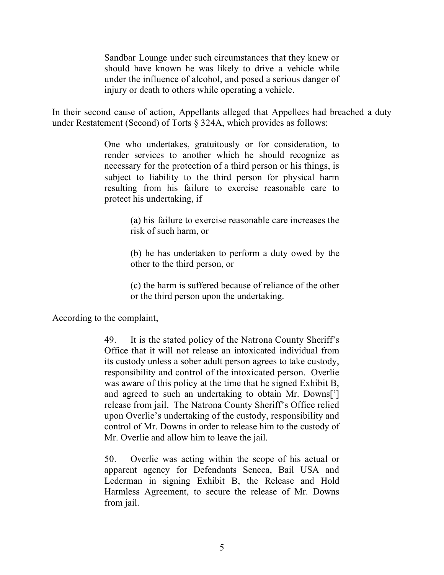Sandbar Lounge under such circumstances that they knew or should have known he was likely to drive a vehicle while under the influence of alcohol, and posed a serious danger of injury or death to others while operating a vehicle.

In their second cause of action, Appellants alleged that Appellees had breached a duty under Restatement (Second) of Torts § 324A, which provides as follows:

> One who undertakes, gratuitously or for consideration, to render services to another which he should recognize as necessary for the protection of a third person or his things, is subject to liability to the third person for physical harm resulting from his failure to exercise reasonable care to protect his undertaking, if

> > (a) his failure to exercise reasonable care increases the risk of such harm, or

> > (b) he has undertaken to perform a duty owed by the other to the third person, or

> > (c) the harm is suffered because of reliance of the other or the third person upon the undertaking.

According to the complaint,

49. It is the stated policy of the Natrona County Sheriff's Office that it will not release an intoxicated individual from its custody unless a sober adult person agrees to take custody, responsibility and control of the intoxicated person. Overlie was aware of this policy at the time that he signed Exhibit B, and agreed to such an undertaking to obtain Mr. Downs['] release from jail. The Natrona County Sheriff's Office relied upon Overlie's undertaking of the custody, responsibility and control of Mr. Downs in order to release him to the custody of Mr. Overlie and allow him to leave the jail.

50. Overlie was acting within the scope of his actual or apparent agency for Defendants Seneca, Bail USA and Lederman in signing Exhibit B, the Release and Hold Harmless Agreement, to secure the release of Mr. Downs from jail.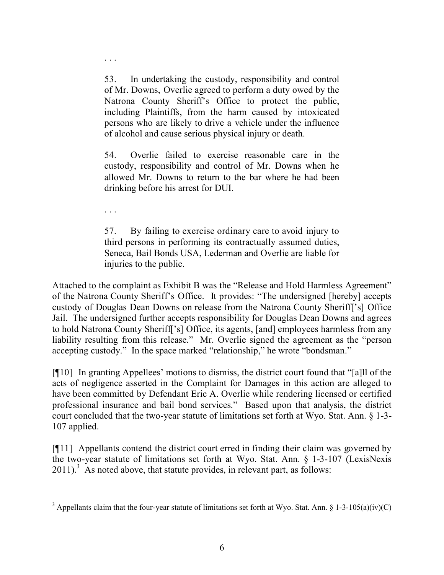53. In undertaking the custody, responsibility and control of Mr. Downs, Overlie agreed to perform a duty owed by the Natrona County Sheriff's Office to protect the public, including Plaintiffs, from the harm caused by intoxicated persons who are likely to drive a vehicle under the influence of alcohol and cause serious physical injury or death.

54. Overlie failed to exercise reasonable care in the custody, responsibility and control of Mr. Downs when he allowed Mr. Downs to return to the bar where he had been drinking before his arrest for DUI.

. . .

 $\overline{a}$ 

. . .

57. By failing to exercise ordinary care to avoid injury to third persons in performing its contractually assumed duties, Seneca, Bail Bonds USA, Lederman and Overlie are liable for injuries to the public.

Attached to the complaint as Exhibit B was the "Release and Hold Harmless Agreement" of the Natrona County Sheriff's Office. It provides: "The undersigned [hereby] accepts custody of Douglas Dean Downs on release from the Natrona County Sheriff['s] Office Jail. The undersigned further accepts responsibility for Douglas Dean Downs and agrees to hold Natrona County Sheriff['s] Office, its agents, [and] employees harmless from any liability resulting from this release." Mr. Overlie signed the agreement as the "person accepting custody." In the space marked "relationship," he wrote "bondsman."

[¶10] In granting Appellees' motions to dismiss, the district court found that "[a]ll of the acts of negligence asserted in the Complaint for Damages in this action are alleged to have been committed by Defendant Eric A. Overlie while rendering licensed or certified professional insurance and bail bond services." Based upon that analysis, the district court concluded that the two-year statute of limitations set forth at Wyo. Stat. Ann. § 1-3- 107 applied.

[¶11] Appellants contend the district court erred in finding their claim was governed by the two-year statute of limitations set forth at Wyo. Stat. Ann. § 1-3-107 (LexisNexis  $2011$ ).<sup>3</sup> As noted above, that statute provides, in relevant part, as follows:

<sup>&</sup>lt;sup>3</sup> Appellants claim that the four-year statute of limitations set forth at Wyo. Stat. Ann. § 1-3-105(a)(iv)(C)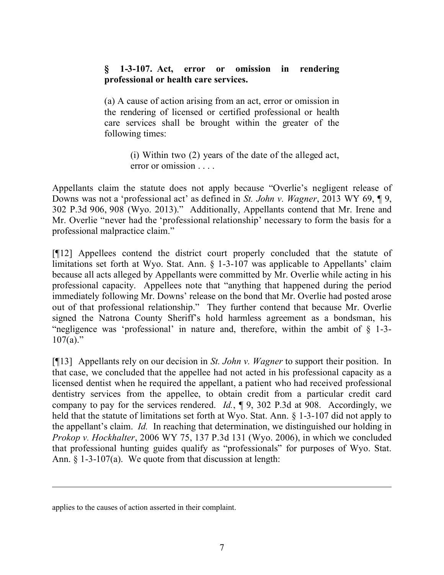#### **§ 1-3-107. Act, error or omission in rendering professional or health care services.**

(a) A cause of action arising from an act, error or omission in the rendering of licensed or certified professional or health care services shall be brought within the greater of the following times:

> (i) Within two (2) years of the date of the alleged act, error or omission . . . .

Appellants claim the statute does not apply because "Overlie's negligent release of Downs was not a 'professional act' as defined in *St. John v. Wagner*, 2013 WY 69, ¶ 9, 302 P.3d 906, 908 (Wyo. 2013)." Additionally, Appellants contend that Mr. Irene and Mr. Overlie "never had the 'professional relationship' necessary to form the basis for a professional malpractice claim."

[¶12] Appellees contend the district court properly concluded that the statute of limitations set forth at Wyo. Stat. Ann. § 1-3-107 was applicable to Appellants' claim because all acts alleged by Appellants were committed by Mr. Overlie while acting in his professional capacity. Appellees note that "anything that happened during the period immediately following Mr. Downs' release on the bond that Mr. Overlie had posted arose out of that professional relationship." They further contend that because Mr. Overlie signed the Natrona County Sheriff's hold harmless agreement as a bondsman, his "negligence was 'professional' in nature and, therefore, within the ambit of § 1-3-  $107(a)$ ."

[¶13] Appellants rely on our decision in *St. John v. Wagner* to support their position. In that case, we concluded that the appellee had not acted in his professional capacity as a licensed dentist when he required the appellant, a patient who had received professional dentistry services from the appellee, to obtain credit from a particular credit card company to pay for the services rendered. *Id.*, ¶ 9, 302 P.3d at 908. Accordingly, we held that the statute of limitations set forth at Wyo. Stat. Ann.  $\S$  1-3-107 did not apply to the appellant's claim. *Id.* In reaching that determination, we distinguished our holding in *Prokop v. Hockhalter*, 2006 WY 75, 137 P.3d 131 (Wyo. 2006), in which we concluded that professional hunting guides qualify as "professionals" for purposes of Wyo. Stat. Ann. § 1-3-107(a). We quote from that discussion at length:

 $\overline{a}$ 

applies to the causes of action asserted in their complaint.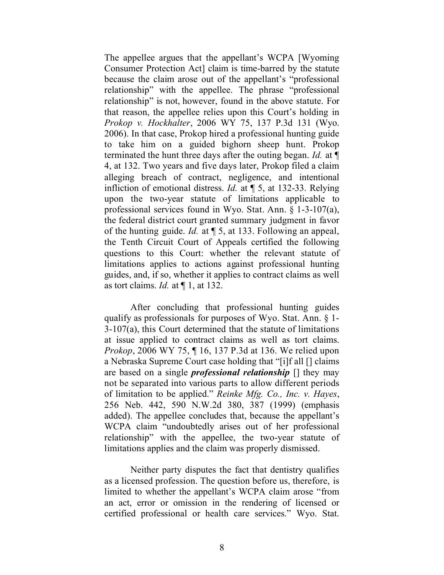The appellee argues that the appellant's WCPA [Wyoming Consumer Protection Act] claim is time-barred by the statute because the claim arose out of the appellant's "professional relationship" with the appellee. The phrase "professional relationship" is not, however, found in the above statute. For that reason, the appellee relies upon this Court's holding in *Prokop v. Hockhalter*, 2006 WY 75, 137 P.3d 131 (Wyo. 2006). In that case, Prokop hired a professional hunting guide to take him on a guided bighorn sheep hunt. Prokop terminated the hunt three days after the outing began. *Id.* at ¶ 4, at 132. Two years and five days later, Prokop filed a claim alleging breach of contract, negligence, and intentional infliction of emotional distress. *Id.* at ¶ 5, at 132-33. Relying upon the two-year statute of limitations applicable to professional services found in Wyo. Stat. Ann. § 1-3-107(a), the federal district court granted summary judgment in favor of the hunting guide. *Id.* at ¶ 5, at 133. Following an appeal, the Tenth Circuit Court of Appeals certified the following questions to this Court: whether the relevant statute of limitations applies to actions against professional hunting guides, and, if so, whether it applies to contract claims as well as tort claims. *Id.* at ¶ 1, at 132.

After concluding that professional hunting guides qualify as professionals for purposes of Wyo. Stat. Ann. § 1- 3-107(a), this Court determined that the statute of limitations at issue applied to contract claims as well as tort claims. *Prokop*, 2006 WY 75, ¶ 16, 137 P.3d at 136. We relied upon a Nebraska Supreme Court case holding that "[i]f all [] claims are based on a single *professional relationship* [] they may not be separated into various parts to allow different periods of limitation to be applied." *Reinke Mfg. Co., Inc. v. Hayes*, 256 Neb. 442, 590 N.W.2d 380, 387 (1999) (emphasis added). The appellee concludes that, because the appellant's WCPA claim "undoubtedly arises out of her professional relationship" with the appellee, the two-year statute of limitations applies and the claim was properly dismissed.

Neither party disputes the fact that dentistry qualifies as a licensed profession. The question before us, therefore, is limited to whether the appellant's WCPA claim arose "from an act, error or omission in the rendering of licensed or certified professional or health care services." Wyo. Stat.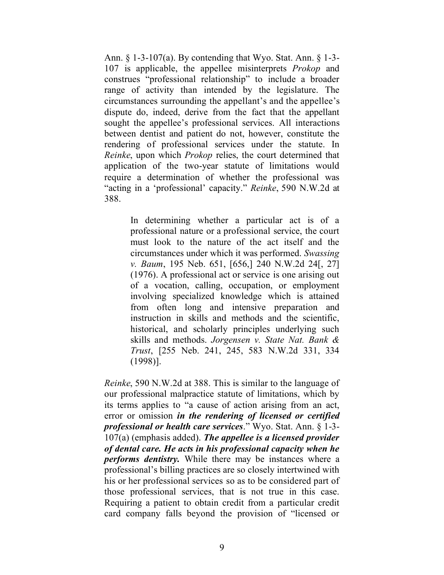Ann. § 1-3-107(a). By contending that Wyo. Stat. Ann. § 1-3- 107 is applicable, the appellee misinterprets *Prokop* and construes "professional relationship" to include a broader range of activity than intended by the legislature. The circumstances surrounding the appellant's and the appellee's dispute do, indeed, derive from the fact that the appellant sought the appellee's professional services. All interactions between dentist and patient do not, however, constitute the rendering of professional services under the statute. In *Reinke*, upon which *Prokop* relies, the court determined that application of the two-year statute of limitations would require a determination of whether the professional was "acting in a 'professional' capacity." *Reinke*, 590 N.W.2d at 388.

> In determining whether a particular act is of a professional nature or a professional service, the court must look to the nature of the act itself and the circumstances under which it was performed. *Swassing v. Baum*, 195 Neb. 651, [656,] 240 N.W.2d 24[, 27] (1976). A professional act or service is one arising out of a vocation, calling, occupation, or employment involving specialized knowledge which is attained from often long and intensive preparation and instruction in skills and methods and the scientific, historical, and scholarly principles underlying such skills and methods. *Jorgensen v. State Nat. Bank & Trust*, [255 Neb. 241, 245, 583 N.W.2d 331, 334 (1998)].

*Reinke*, 590 N.W.2d at 388. This is similar to the language of our professional malpractice statute of limitations, which by its terms applies to "a cause of action arising from an act, error or omission *in the rendering of licensed or certified professional or health care services*." Wyo. Stat. Ann. § 1-3- 107(a) (emphasis added). *The appellee is a licensed provider of dental care. He acts in his professional capacity when he performs dentistry.* While there may be instances where a professional's billing practices are so closely intertwined with his or her professional services so as to be considered part of those professional services, that is not true in this case. Requiring a patient to obtain credit from a particular credit card company falls beyond the provision of "licensed or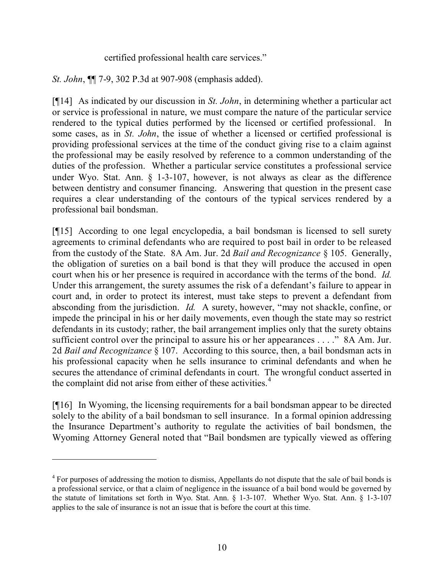#### certified professional health care services."

*St. John*, ¶¶ 7-9, 302 P.3d at 907-908 (emphasis added).

[¶14] As indicated by our discussion in *St. John*, in determining whether a particular act or service is professional in nature, we must compare the nature of the particular service rendered to the typical duties performed by the licensed or certified professional. In some cases, as in *St. John*, the issue of whether a licensed or certified professional is providing professional services at the time of the conduct giving rise to a claim against the professional may be easily resolved by reference to a common understanding of the duties of the profession. Whether a particular service constitutes a professional service under Wyo. Stat. Ann. § 1-3-107, however, is not always as clear as the difference between dentistry and consumer financing. Answering that question in the present case requires a clear understanding of the contours of the typical services rendered by a professional bail bondsman.

[¶15] According to one legal encyclopedia, a bail bondsman is licensed to sell surety agreements to criminal defendants who are required to post bail in order to be released from the custody of the State. 8A Am. Jur. 2d *Bail and Recognizance* § 105. Generally, the obligation of sureties on a bail bond is that they will produce the accused in open court when his or her presence is required in accordance with the terms of the bond. *Id.* Under this arrangement, the surety assumes the risk of a defendant's failure to appear in court and, in order to protect its interest, must take steps to prevent a defendant from absconding from the jurisdiction. *Id.* A surety, however, "may not shackle, confine, or impede the principal in his or her daily movements, even though the state may so restrict defendants in its custody; rather, the bail arrangement implies only that the surety obtains sufficient control over the principal to assure his or her appearances . . . ." 8A Am. Jur. 2d *Bail and Recognizance* § 107. According to this source, then, a bail bondsman acts in his professional capacity when he sells insurance to criminal defendants and when he secures the attendance of criminal defendants in court. The wrongful conduct asserted in the complaint did not arise from either of these activities.<sup>4</sup>

[¶16] In Wyoming, the licensing requirements for a bail bondsman appear to be directed solely to the ability of a bail bondsman to sell insurance. In a formal opinion addressing the Insurance Department's authority to regulate the activities of bail bondsmen, the Wyoming Attorney General noted that "Bail bondsmen are typically viewed as offering

 $\overline{a}$ 

<sup>&</sup>lt;sup>4</sup> For purposes of addressing the motion to dismiss, Appellants do not dispute that the sale of bail bonds is a professional service, or that a claim of negligence in the issuance of a bail bond would be governed by the statute of limitations set forth in Wyo. Stat. Ann. § 1-3-107. Whether Wyo. Stat. Ann. § 1-3-107 applies to the sale of insurance is not an issue that is before the court at this time.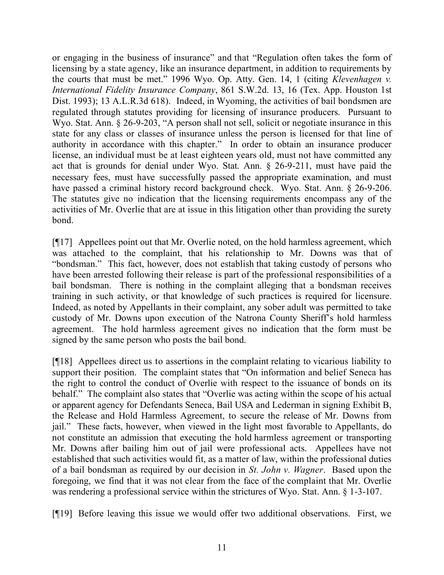or engaging in the business of insurance" and that "Regulation often takes the form of licensing by a state agency, like an insurance department, in addition to requirements by the courts that must be met." 1996 Wyo. Op. Atty. Gen. 14, 1 (citing *Klevenhagen v. International Fidelity Insurance Company*, 861 S.W.2d. 13, 16 (Tex. App. Houston 1st Dist. 1993); 13 A.L.R.3d 618). Indeed, in Wyoming, the activities of bail bondsmen are regulated through statutes providing for licensing of insurance producers. Pursuant to Wyo. Stat. Ann. § 26-9-203, "A person shall not sell, solicit or negotiate insurance in this state for any class or classes of insurance unless the person is licensed for that line of authority in accordance with this chapter." In order to obtain an insurance producer license, an individual must be at least eighteen years old, must not have committed any act that is grounds for denial under Wyo. Stat. Ann. § 26-9-211, must have paid the necessary fees, must have successfully passed the appropriate examination, and must have passed a criminal history record background check. Wyo. Stat. Ann. § 26-9-206. The statutes give no indication that the licensing requirements encompass any of the activities of Mr. Overlie that are at issue in this litigation other than providing the surety bond.

[¶17] Appellees point out that Mr. Overlie noted, on the hold harmless agreement, which was attached to the complaint, that his relationship to Mr. Downs was that of "bondsman." This fact, however, does not establish that taking custody of persons who have been arrested following their release is part of the professional responsibilities of a bail bondsman. There is nothing in the complaint alleging that a bondsman receives training in such activity, or that knowledge of such practices is required for licensure. Indeed, as noted by Appellants in their complaint, any sober adult was permitted to take custody of Mr. Downs upon execution of the Natrona County Sheriff's hold harmless agreement. The hold harmless agreement gives no indication that the form must be signed by the same person who posts the bail bond.

[¶18] Appellees direct us to assertions in the complaint relating to vicarious liability to support their position. The complaint states that "On information and belief Seneca has the right to control the conduct of Overlie with respect to the issuance of bonds on its behalf." The complaint also states that "Overlie was acting within the scope of his actual or apparent agency for Defendants Seneca, Bail USA and Lederman in signing Exhibit B, the Release and Hold Harmless Agreement, to secure the release of Mr. Downs from jail." These facts, however, when viewed in the light most favorable to Appellants, do not constitute an admission that executing the hold harmless agreement or transporting Mr. Downs after bailing him out of jail were professional acts. Appellees have not established that such activities would fit, as a matter of law, within the professional duties of a bail bondsman as required by our decision in *St. John v. Wagner*. Based upon the foregoing, we find that it was not clear from the face of the complaint that Mr. Overlie was rendering a professional service within the strictures of Wyo. Stat. Ann. § 1-3-107.

[¶19] Before leaving this issue we would offer two additional observations. First, we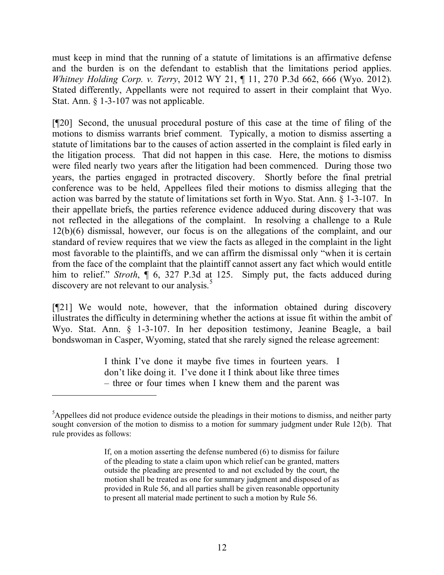must keep in mind that the running of a statute of limitations is an affirmative defense and the burden is on the defendant to establish that the limitations period applies. *Whitney Holding Corp. v. Terry*, 2012 WY 21, ¶ 11, 270 P.3d 662, 666 (Wyo. 2012). Stated differently, Appellants were not required to assert in their complaint that Wyo. Stat. Ann. § 1-3-107 was not applicable.

[¶20] Second, the unusual procedural posture of this case at the time of filing of the motions to dismiss warrants brief comment. Typically, a motion to dismiss asserting a statute of limitations bar to the causes of action asserted in the complaint is filed early in the litigation process. That did not happen in this case. Here, the motions to dismiss were filed nearly two years after the litigation had been commenced. During those two years, the parties engaged in protracted discovery. Shortly before the final pretrial conference was to be held, Appellees filed their motions to dismiss alleging that the action was barred by the statute of limitations set forth in Wyo. Stat. Ann. § 1-3-107. In their appellate briefs, the parties reference evidence adduced during discovery that was not reflected in the allegations of the complaint. In resolving a challenge to a Rule 12(b)(6) dismissal, however, our focus is on the allegations of the complaint, and our standard of review requires that we view the facts as alleged in the complaint in the light most favorable to the plaintiffs, and we can affirm the dismissal only "when it is certain from the face of the complaint that the plaintiff cannot assert any fact which would entitle him to relief." *Stroth*, ¶ 6, 327 P.3d at 125.Simply put, the facts adduced during discovery are not relevant to our analysis.<sup>5</sup>

[¶21] We would note, however, that the information obtained during discovery illustrates the difficulty in determining whether the actions at issue fit within the ambit of Wyo. Stat. Ann. § 1-3-107. In her deposition testimony, Jeanine Beagle, a bail bondswoman in Casper, Wyoming, stated that she rarely signed the release agreement:

> I think I've done it maybe five times in fourteen years. I don't like doing it. I've done it I think about like three times – three or four times when I knew them and the parent was

<sup>&</sup>lt;sup>5</sup>Appellees did not produce evidence outside the pleadings in their motions to dismiss, and neither party sought conversion of the motion to dismiss to a motion for summary judgment under Rule 12(b). That rule provides as follows:

If, on a motion asserting the defense numbered (6) to dismiss for failure of the pleading to state a claim upon which relief can be granted, matters outside the pleading are presented to and not excluded by the court, the motion shall be treated as one for summary judgment and disposed of as provided in Rule 56, and all parties shall be given reasonable opportunity to present all material made pertinent to such a motion by Rule 56.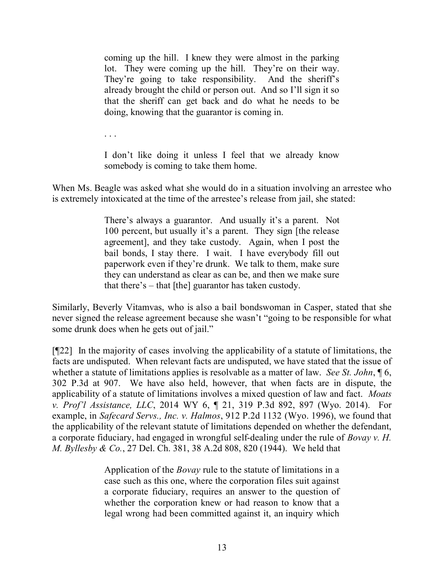coming up the hill. I knew they were almost in the parking lot. They were coming up the hill. They're on their way. They're going to take responsibility. And the sheriff's already brought the child or person out. And so I'll sign it so that the sheriff can get back and do what he needs to be doing, knowing that the guarantor is coming in.

. . .

I don't like doing it unless I feel that we already know somebody is coming to take them home.

When Ms. Beagle was asked what she would do in a situation involving an arrestee who is extremely intoxicated at the time of the arrestee's release from jail, she stated:

> There's always a guarantor. And usually it's a parent. Not 100 percent, but usually it's a parent. They sign [the release agreement], and they take custody. Again, when I post the bail bonds, I stay there. I wait. I have everybody fill out paperwork even if they're drunk. We talk to them, make sure they can understand as clear as can be, and then we make sure that there's – that [the] guarantor has taken custody.

Similarly, Beverly Vitamvas, who is also a bail bondswoman in Casper, stated that she never signed the release agreement because she wasn't "going to be responsible for what some drunk does when he gets out of jail."

 $[922]$  In the majority of cases involving the applicability of a statute of limitations, the facts are undisputed. When relevant facts are undisputed, we have stated that the issue of whether a statute of limitations applies is resolvable as a matter of law. *See St. John*, ¶ 6, 302 P.3d at 907. We have also held, however, that when facts are in dispute, the applicability of a statute of limitations involves a mixed question of law and fact. *Moats v. Prof'l Assistance, LLC*, 2014 WY 6, ¶ 21, 319 P.3d 892, 897 (Wyo. 2014). For example, in *Safecard Servs., Inc. v. Halmos*, 912 P.2d 1132 (Wyo. 1996), we found that the applicability of the relevant statute of limitations depended on whether the defendant, a corporate fiduciary, had engaged in wrongful self-dealing under the rule of *Bovay v. H. M. Byllesby & Co.*, 27 Del. Ch. 381, 38 A.2d 808, 820 (1944). We held that

> Application of the *Bovay* rule to the statute of limitations in a case such as this one, where the corporation files suit against a corporate fiduciary, requires an answer to the question of whether the corporation knew or had reason to know that a legal wrong had been committed against it, an inquiry which